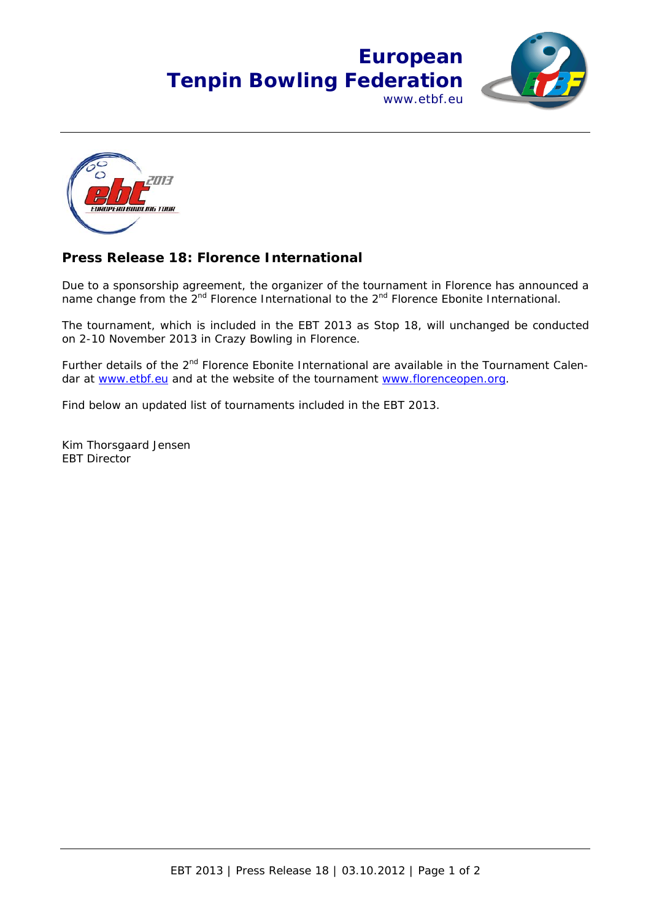## **European Tenpin Bowling Federation** www.etbf.eu





## **Press Release 18: Florence International**

Due to a sponsorship agreement, the organizer of the tournament in Florence has announced a name change from the 2<sup>nd</sup> Florence International to the 2<sup>nd</sup> Florence Ebonite International.

The tournament, which is included in the EBT 2013 as Stop 18, will unchanged be conducted on 2-10 November 2013 in Crazy Bowling in Florence.

Further details of the 2<sup>nd</sup> Florence Ebonite International are available in the Tournament Calendar at www.etbf.eu and at the website of the tournament www.florenceopen.org.

Find below an updated list of tournaments included in the EBT 2013.

Kim Thorsgaard Jensen EBT Director